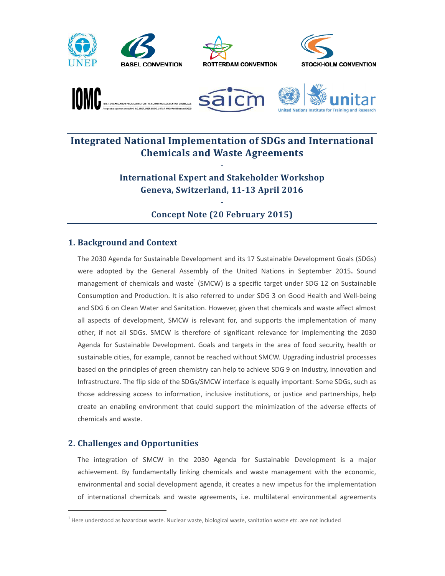









# Integrated National Implementation of SDGs and International **Chemicals and Waste Agreements**

International Expert and Stakeholder Workshop Geneva, Switzerland, 11-13 April 2016

-

## - Concept Note (20 February 2015)

## 1. Background and Context

The 2030 Agenda for Sustainable Development and its 17 Sustainable Development Goals (SDGs) were adopted by the General Assembly of the United Nations in September 2015. Sound management of chemicals and waste<sup>1</sup> (SMCW) is a specific target under SDG 12 on Sustainable Consumption and Production. It is also referred to under SDG 3 on Good Health and Well-being and SDG 6 on Clean Water and Sanitation. However, given that chemicals and waste affect almost all aspects of development, SMCW is relevant for, and supports the implementation of many other, if not all SDGs. SMCW is therefore of significant relevance for implementing the 2030 Agenda for Sustainable Development. Goals and targets in the area of food security, health or sustainable cities, for example, cannot be reached without SMCW. Upgrading industrial processes based on the principles of green chemistry can help to achieve SDG 9 on Industry, Innovation and Infrastructure. The flip side of the SDGs/SMCW interface is equally important: Some SDGs, such as those addressing access to information, inclusive institutions, or justice and partnerships, help create an enabling environment that could support the minimization of the adverse effects of chemicals and waste.

## 2. Challenges and Opportunities

 $\overline{a}$ 

The integration of SMCW in the 2030 Agenda for Sustainable Development is a major achievement. By fundamentally linking chemicals and waste management with the economic, environmental and social development agenda, it creates a new impetus for the implementation of international chemicals and waste agreements, i.e. multilateral environmental agreements

<sup>&</sup>lt;sup>1</sup> Here understood as hazardous waste. Nuclear waste, biological waste, sanitation waste *etc*. are not included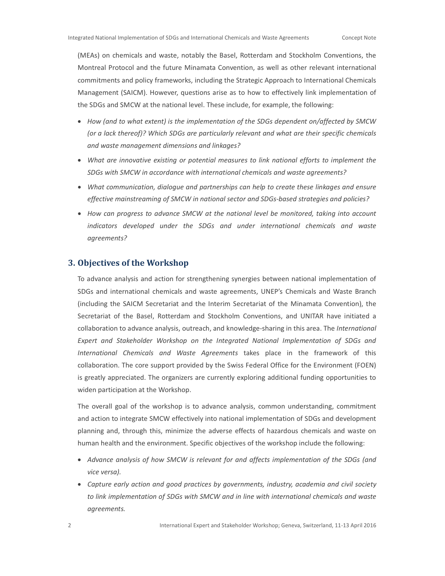(MEAs) on chemicals and waste, notably the Basel, Rotterdam and Stockholm Conventions, the Montreal Protocol and the future Minamata Convention, as well as other relevant international commitments and policy frameworks, including the Strategic Approach to International Chemicals Management (SAICM). However, questions arise as to how to effectively link implementation of the SDGs and SMCW at the national level. These include, for example, the following:

- How (and to what extent) is the implementation of the SDGs dependent on/affected by SMCW (or a lack thereof)? Which SDGs are particularly relevant and what are their specific chemicals and waste management dimensions and linkages?
- What are innovative existing or potential measures to link national efforts to implement the SDGs with SMCW in accordance with international chemicals and waste agreements?
- What communication, dialogue and partnerships can help to create these linkages and ensure effective mainstreaming of SMCW in national sector and SDGs-based strategies and policies?
- How can progress to advance SMCW at the national level be monitored, taking into account indicators developed under the SDGs and under international chemicals and waste agreements?

### 3. Objectives of the Workshop

To advance analysis and action for strengthening synergies between national implementation of SDGs and international chemicals and waste agreements, UNEP's Chemicals and Waste Branch (including the SAICM Secretariat and the Interim Secretariat of the Minamata Convention), the Secretariat of the Basel, Rotterdam and Stockholm Conventions, and UNITAR have initiated a collaboration to advance analysis, outreach, and knowledge-sharing in this area. The International Expert and Stakeholder Workshop on the Integrated National Implementation of SDGs and International Chemicals and Waste Agreements takes place in the framework of this collaboration. The core support provided by the Swiss Federal Office for the Environment (FOEN) is greatly appreciated. The organizers are currently exploring additional funding opportunities to widen participation at the Workshop.

The overall goal of the workshop is to advance analysis, common understanding, commitment and action to integrate SMCW effectively into national implementation of SDGs and development planning and, through this, minimize the adverse effects of hazardous chemicals and waste on human health and the environment. Specific objectives of the workshop include the following:

- Advance analysis of how SMCW is relevant for and affects implementation of the SDGs (and vice versa).
- Capture early action and good practices by governments, industry, academia and civil society to link implementation of SDGs with SMCW and in line with international chemicals and waste agreements.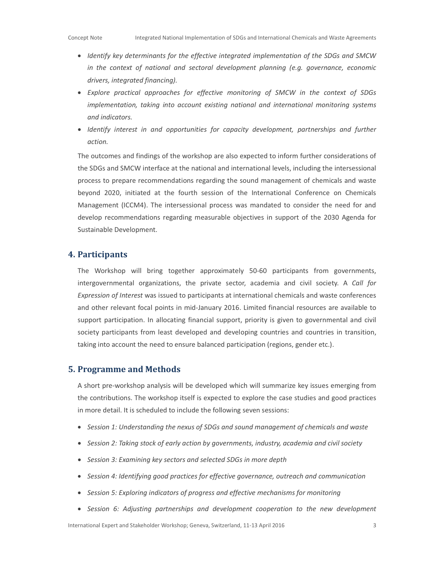- Identify key determinants for the effective integrated implementation of the SDGs and SMCW in the context of national and sectoral development planning (e.g. governance, economic drivers, integrated financing).
- Explore practical approaches for effective monitoring of SMCW in the context of SDGs implementation, taking into account existing national and international monitoring systems and indicators.
- Identify interest in and opportunities for capacity development, partnerships and further action.

The outcomes and findings of the workshop are also expected to inform further considerations of the SDGs and SMCW interface at the national and international levels, including the intersessional process to prepare recommendations regarding the sound management of chemicals and waste beyond 2020, initiated at the fourth session of the International Conference on Chemicals Management (ICCM4). The intersessional process was mandated to consider the need for and develop recommendations regarding measurable objectives in support of the 2030 Agenda for Sustainable Development.

### 4. Participants

The Workshop will bring together approximately 50-60 participants from governments, intergovernmental organizations, the private sector, academia and civil society. A Call for Expression of Interest was issued to participants at international chemicals and waste conferences and other relevant focal points in mid-January 2016. Limited financial resources are available to support participation. In allocating financial support, priority is given to governmental and civil society participants from least developed and developing countries and countries in transition, taking into account the need to ensure balanced participation (regions, gender etc.).

### **5. Programme and Methods**

A short pre-workshop analysis will be developed which will summarize key issues emerging from the contributions. The workshop itself is expected to explore the case studies and good practices in more detail. It is scheduled to include the following seven sessions:

- Session 1: Understanding the nexus of SDGs and sound management of chemicals and waste
- Session 2: Taking stock of early action by governments, industry, academia and civil society
- Session 3: Examining key sectors and selected SDGs in more depth
- Session 4: Identifying good practices for effective governance, outreach and communication
- Session 5: Exploring indicators of progress and effective mechanisms for monitoring
- Session 6: Adjusting partnerships and development cooperation to the new development

International Expert and Stakeholder Workshop; Geneva, Switzerland, 11-13 April 2016 3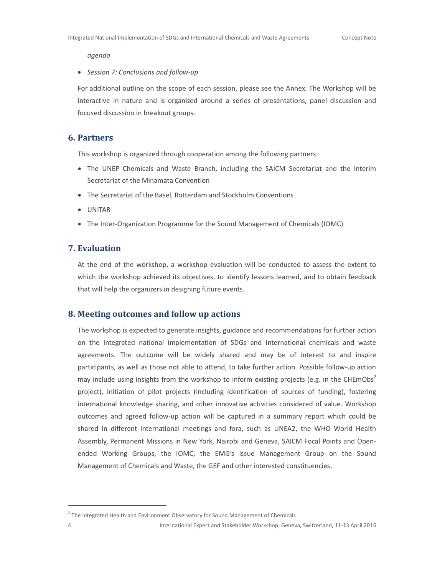agenda

### • Session 7: Conclusions and follow-up

For additional outline on the scope of each session, please see the Annex. The Workshop will be interactive in nature and is organized around a series of presentations, panel discussion and focused discussion in breakout groups.

### 6. Partners

This workshop is organized through cooperation among the following partners:

- The UNEP Chemicals and Waste Branch, including the SAICM Secretariat and the Interim Secretariat of the Minamata Convention
- The Secretariat of the Basel, Rotterdam and Stockholm Conventions
- UNITAR
- The Inter-Organization Programme for the Sound Management of Chemicals (IOMC)

### 7. Evaluation

At the end of the workshop, a workshop evaluation will be conducted to assess the extent to which the workshop achieved its objectives, to identify lessons learned, and to obtain feedback that will help the organizers in designing future events.

### 8. Meeting outcomes and follow up actions

The workshop is expected to generate insights, guidance and recommendations for further action on the integrated national implementation of SDGs and international chemicals and waste agreements. The outcome will be widely shared and may be of interest to and inspire participants, as well as those not able to attend, to take further action. Possible follow-up action may include using insights from the workshop to inform existing projects (e.g. in the CHEmObs<sup>2</sup> project), initiation of pilot projects (including identification of sources of funding), fostering international knowledge sharing, and other innovative activities considered of value. Workshop outcomes and agreed follow-up action will be captured in a summary report which could be shared in different international meetings and fora, such as UNEA2, the WHO World Health Assembly, Permanent Missions in New York, Nairobi and Geneva, SAICM Focal Points and Openended Working Groups, the IOMC, the EMG's Issue Management Group on the Sound Management of Chemicals and Waste, the GEF and other interested constituencies.

-

 $2$  The Integrated Health and Environment Observatory for Sound Management of Chemicals

<sup>4</sup> International Expert and Stakeholder Workshop; Geneva, Switzerland, 11-13 April 2016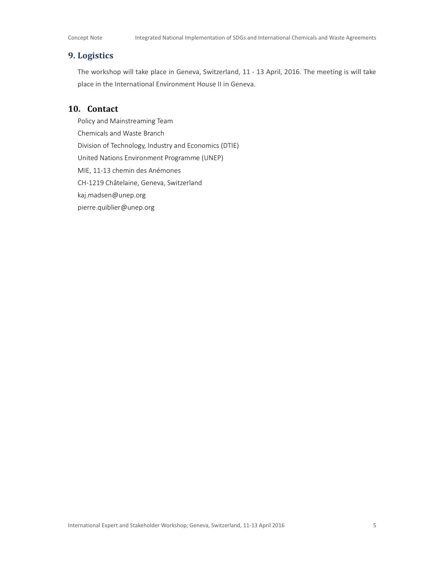### 9. Logistics

The workshop will take place in Geneva, Switzerland, 11 - 13 April, 2016. The meeting is will take place in the International Environment House II in Geneva.

### 10. Contact

Policy and Mainstreaming Team Chemicals and Waste Branch Division of Technology, Industry and Economics (DTIE) United Nations Environment Programme (UNEP) MIE, 11-13 chemin des Anémones CH-1219 Châtelaine, Geneva, Switzerland kaj.madsen@unep.org pierre.quiblier@unep.org